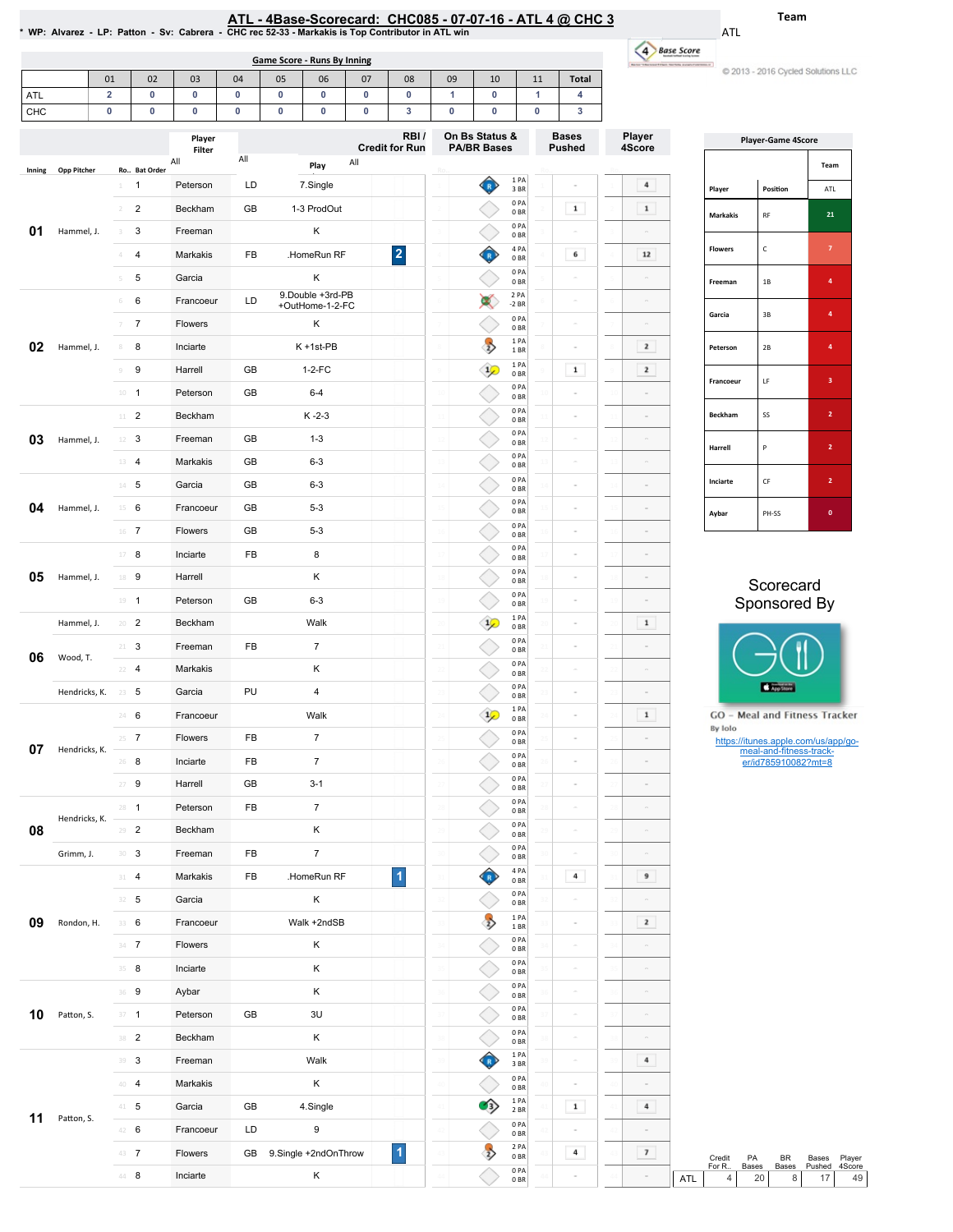# **ATL - 4Base-Scorecard: CHC085 - 07-07-16 - ATL 4 @ CHC 3**<br>\* WP: Alvarez - LP: Patton - Sv: Cabrera - CHC rec 52-33 - Markakis is Top Contributor in ATL win

Game Score - Runs By Inning

01 | 02 | 03 | 04 | 05 | 06 | 07 | 08 | 09 | 10 | 11 | Total |

4 Base Score

.<br>Non factors construct

ATL

© 2013 - 2016 Cycled Solutions LLC

| <b>ATL</b> |                    | $\mathbf 2$              | $\mathbf 0$    | $\mathbf 0$      | $\mathbf 0$ | $\mathbf 0$ | 0                                   | $\mathbf 0$ | $\mathbf 0$                   | $\mathbf{1}$ | $\mathbf 0$                          |                         | $\mathbf{1}$ | 4                             |                         |                                      |                                                |                                           |
|------------|--------------------|--------------------------|----------------|------------------|-------------|-------------|-------------------------------------|-------------|-------------------------------|--------------|--------------------------------------|-------------------------|--------------|-------------------------------|-------------------------|--------------------------------------|------------------------------------------------|-------------------------------------------|
| CHC        |                    | $\pmb{0}$                | 0              | 0                | $\mathbf 0$ | $\mathbf 0$ | 0                                   | $\mathbf 0$ | $\mathbf{3}$                  | 0            | 0                                    |                         | $\pmb{0}$    | 3                             |                         |                                      |                                                |                                           |
|            |                    |                          |                | Player<br>Filter |             |             |                                     |             | RBI/<br><b>Credit for Run</b> |              | On Bs Status &<br><b>PA/BR Bases</b> |                         |              | <b>Bases</b><br><b>Pushed</b> | Player<br>4Score        | <b>Player-Game 4Score</b>            |                                                |                                           |
| Inning     | <b>Opp Pitcher</b> |                          | Ro Bat Order   | All              | All         |             | Play                                | All         |                               |              |                                      |                         |              |                               |                         |                                      |                                                | Team                                      |
|            |                    | $1\,$                    | $\overline{1}$ | Peterson         | LD          |             | 7.Single                            |             |                               |              | ♦                                    | 1 PA<br>3BR             |              |                               | 4                       | Player                               | Position                                       | ATL                                       |
|            |                    | $\overline{2}$           | $\overline{2}$ | Beckham          | GB          |             | 1-3 ProdOut                         |             |                               |              |                                      | 0PA<br>0 <sub>BR</sub>  |              | $\mathbf 1$                   | $\mathbf 1$             | <b>Markakis</b>                      | $\mathsf{RF}$                                  | 21                                        |
| 01         | Hammel, J.         | 3                        | 3              | Freeman          |             |             | Κ                                   |             |                               |              |                                      | 0PA<br>0 <sub>BR</sub>  |              |                               |                         |                                      |                                                |                                           |
|            |                    | 4                        | 4              | Markakis         | FB          |             | .HomeRun RF                         |             | $\overline{2}$                |              | ♦                                    | 4 PA<br>0BR             |              | 6                             | 12                      | <b>Flowers</b>                       | $\mathsf{C}$                                   | 7 <sup>2</sup>                            |
|            |                    | 5                        | 5              | Garcia           |             |             | Κ                                   |             |                               |              |                                      | 0PA<br>0 <sub>BR</sub>  |              |                               |                         | Freeman                              | $1\,\mathrm{B}$                                | $\overline{\mathbf{4}}$                   |
|            |                    | 6                        | 6              | Francoeur        | LD          |             | 9.Double +3rd-PB<br>+OutHome-1-2-FC |             |                               |              | ⋉                                    | 2 PA<br>$-2$ BR         |              |                               |                         |                                      |                                                |                                           |
|            |                    | $\overline{\mathcal{I}}$ | $\overline{7}$ | Flowers          |             |             | Κ                                   |             |                               |              |                                      | 0PA<br>0BR              |              |                               |                         | Garcia                               | $3\,\mathrm{B}$                                | $\blacktriangleleft$                      |
| 02         | Hammel, J.         | 8                        | 8              | Inciarte         |             |             | $K + 1st - PB$                      |             |                               |              | $\rightarrow$                        | 1 PA<br>1BR             |              |                               | $\mathbf{z}$            | Peterson                             | 2B                                             | 4                                         |
|            |                    | $\circ$                  | 9              | Harrell          | GB          |             | $1-2-FC$                            |             |                               |              | $\mathcal{L}$                        | 1 PA<br>0BR             |              | $\mathbf 1$                   | 2                       |                                      |                                                |                                           |
|            |                    | $10 - 1$                 |                | Peterson         | GB          |             | $6 - 4$                             |             |                               |              |                                      | 0PA<br>0 <sub>BR</sub>  |              |                               |                         | Francoeur                            | LF                                             | 3 <sup>°</sup>                            |
|            |                    |                          | $11$ 2         | Beckham          |             |             | $K - 2 - 3$                         |             |                               |              |                                      | 0PA<br>0BR              |              |                               |                         | Beckham                              | SS                                             | $\mathbf{2}$                              |
| 03         | Hammel, J.         | 12                       | 3              | Freeman          | GB          |             | $1 - 3$                             |             |                               |              |                                      | 0PA<br>0 BR             |              |                               |                         |                                      |                                                |                                           |
|            |                    | 13 4                     |                | Markakis         | GB          |             | $6 - 3$                             |             |                               |              |                                      | 0PA<br>0 <sub>BR</sub>  |              |                               |                         | Harrell                              | P                                              | $\mathbf{2}^-$                            |
|            |                    |                          | $14 - 5$       | Garcia           | GB          |             | $6 - 3$                             |             |                               |              |                                      | 0 PA<br>0 <sub>BR</sub> |              |                               | $\sim$                  | Inciarte                             | $\mathsf{CF}$                                  | $\mathbf{2}$                              |
| 04         | Hammel, J.         | $15 \t 6$                |                | Francoeur        | GB          |             | $5 - 3$                             |             |                               |              |                                      | 0PA<br>0 <sub>BR</sub>  |              | $\sim$                        |                         | Aybar                                | PH-SS                                          | $\bullet$                                 |
|            |                    |                          | 16 7           | Flowers          | GB          |             | $5 - 3$                             |             |                               |              |                                      | 0PA<br>0BR              |              | à.                            | $\sim$                  |                                      |                                                |                                           |
|            |                    |                          | $17 - 8$       | Inciarte         | FB          |             | 8                                   |             |                               |              |                                      | 0PA<br>0 <sub>BR</sub>  |              | $\sim$                        | $\equiv$                |                                      |                                                |                                           |
| 05         | Hammel, J.         |                          | 18 9           | Harrell          |             |             | Κ                                   |             |                               |              |                                      | 0PA<br>0 <sub>BR</sub>  |              | $\sim$                        | $\sim$                  |                                      |                                                |                                           |
|            |                    | $19 - 1$                 |                | Peterson         | GB          |             | $6 - 3$                             |             |                               |              |                                      | 0PA<br>0 <sub>BR</sub>  |              |                               |                         |                                      | Scorecard<br>Sponsored By                      |                                           |
|            | Hammel, J.         |                          | $20 - 2$       | Beckham          |             |             | Walk                                |             |                               |              | $\mathcal{P}$                        | 1PA<br>0 <sub>BR</sub>  |              |                               | $\mathbf 1$             |                                      |                                                |                                           |
|            | Wood, T.           |                          | $21 - 3$       | Freeman          | FB          |             | $\overline{7}$                      |             |                               |              |                                      | 0PA<br>0 <sub>BR</sub>  |              |                               |                         |                                      |                                                |                                           |
| 06         |                    | $22 - 4$                 |                | Markakis         |             |             | Κ                                   |             |                               |              |                                      | 0 PA<br>0 <sub>BR</sub> |              |                               |                         |                                      |                                                |                                           |
|            | Hendricks, K.      | $23 - 5$                 |                | Garcia           | PU          |             | $\overline{4}$                      |             |                               |              |                                      | 0PA<br>0BR              |              |                               |                         | App Store                            |                                                |                                           |
|            |                    |                          | 24 6           | Francoeur        |             |             | Walk                                |             |                               |              | $\mathcal{L}$                        | 1 PA<br>0 <sub>BR</sub> |              |                               | $\mathbf 1$             | <b>GO</b> - Meal and Fitness Tracker |                                                |                                           |
|            |                    | $25 - 7$                 |                | Flowers          | FB          |             | $\overline{7}$                      |             |                               |              |                                      | 0PA<br>0BR              |              |                               |                         | By Iolo                              |                                                | https://itunes.apple.com/us/app/go-       |
| 07         | Hendricks, K.      |                          | $26 - 8$       | Inciarte         | FB          |             | $\overline{7}$                      |             |                               |              |                                      | 0PA<br>0 <sub>BR</sub>  |              |                               |                         |                                      | meal-and-fitness-track-<br>er/id785910082?mt=8 |                                           |
|            |                    |                          | $27 - 9$       | Harrell          | GB          |             | $3 - 1$                             |             |                               |              |                                      | 0PA<br>0 <sub>BR</sub>  |              |                               |                         |                                      |                                                |                                           |
|            |                    |                          | $28 - 1$       | Peterson         | FB          |             | $\overline{7}$                      |             |                               |              |                                      | 0PA<br>0 <sub>BR</sub>  |              |                               | $\equiv$                |                                      |                                                |                                           |
| 08         | Hendricks, K.      |                          | $29 - 2$       | Beckham          |             |             | Κ                                   |             |                               |              |                                      | 0PA<br>0 <sub>BR</sub>  |              |                               | $\equiv$                |                                      |                                                |                                           |
|            | Grimm, J.          |                          | $30-3$         | Freeman          | FB          |             | $\overline{7}$                      |             |                               |              |                                      | 0PA<br>0BR              |              |                               | $\equiv$                |                                      |                                                |                                           |
|            |                    |                          | 31 4           | Markakis         | FB          |             | .HomeRun RF                         |             | $\vert$                       |              | ♦                                    | 4 PA<br>0BR             |              | $\overline{4}$                | 9                       |                                      |                                                |                                           |
|            |                    | $32 - 5$                 |                | Garcia           |             |             | Κ                                   |             |                               |              |                                      | 0PA<br>0BR              |              |                               | $\,$                    |                                      |                                                |                                           |
| 09         | Rondon, H.         | 33 6                     |                | Francoeur        |             |             | Walk +2ndSB                         |             |                               |              | $\rightarrow$                        | 1 PA<br>1BR             |              | $\sim$                        | $\mathbf{2}$            |                                      |                                                |                                           |
|            |                    |                          | $34 - 7$       | Flowers          |             |             | Κ                                   |             |                               |              |                                      | 0PA<br>0 <sub>BR</sub>  |              |                               |                         |                                      |                                                |                                           |
|            |                    |                          | $35 - 8$       | Inciarte         |             |             | Κ                                   |             |                               |              |                                      | 0PA<br>0 <sub>BR</sub>  |              |                               |                         |                                      |                                                |                                           |
|            |                    |                          | $36 - 9$       | Aybar            |             |             | Κ                                   |             |                               |              |                                      | 0PA<br>0 <sub>BR</sub>  |              |                               |                         |                                      |                                                |                                           |
| 10         | Patton, S.         | $37 - 1$                 |                | Peterson         | GB          |             | 3U                                  |             |                               |              |                                      | 0PA<br>0 <sub>BR</sub>  |              | $\sim$                        |                         |                                      |                                                |                                           |
|            |                    |                          | 38 2           | Beckham          |             |             | Κ                                   |             |                               |              |                                      | 0PA<br>0BR              |              |                               |                         |                                      |                                                |                                           |
|            |                    |                          | 39 3           | Freeman          |             |             | Walk                                |             |                               |              | Œ.                                   | 1PA<br>3 BR             |              |                               | $\overline{\mathbf{4}}$ |                                      |                                                |                                           |
|            |                    |                          | 40 4           | Markakis         |             |             | Κ                                   |             |                               |              |                                      | 0PA<br>0 <sub>BR</sub>  |              |                               |                         |                                      |                                                |                                           |
|            |                    | $41 - 5$                 |                | Garcia           | GB          |             | 4.Single                            |             |                               |              | O)                                   | 1 PA<br>2 BR            |              | $\mathbf 1$                   | $\overline{\mathbf{4}}$ |                                      |                                                |                                           |
| 11         | Patton, S.         |                          | 42 6           | Francoeur        | LD          |             | 9                                   |             |                               |              |                                      | 0PA                     |              |                               |                         |                                      |                                                |                                           |
|            |                    |                          | 43 7           | Flowers          | <b>GB</b>   |             | 9.Single +2ndOnThrow                |             | $\vert$                       |              | $\rightarrow$                        | 0 <sub>BR</sub><br>2 PA |              | $\overline{4}$                | $\boldsymbol{\tau}$     |                                      |                                                |                                           |
|            |                    |                          | $44$ 8         | Inciarte         |             |             | Κ                                   |             |                               |              |                                      | 0 <sub>BR</sub><br>0PA  |              |                               |                         | PA<br>Credit<br>For R<br>Bases       | <b>BR</b><br>Bases                             | Bases<br>Player<br>Pushed<br>4Score<br>49 |
|            |                    |                          |                |                  |             |             |                                     |             |                               |              |                                      | 0BR                     |              |                               |                         | $\overline{4}$<br>ATL                | 20<br>8                                        | 17                                        |

| <b>Player-Game 4Score</b> |          |                |  |  |  |  |  |  |  |
|---------------------------|----------|----------------|--|--|--|--|--|--|--|
|                           |          | Team           |  |  |  |  |  |  |  |
| Player                    | Position | ATL            |  |  |  |  |  |  |  |
| <b>Markakis</b>           | RF       | 21             |  |  |  |  |  |  |  |
| <b>Flowers</b>            | C        | $\overline{7}$ |  |  |  |  |  |  |  |
| Freeman                   | 1B       | 4              |  |  |  |  |  |  |  |
| Garcia                    | 3B       | 4              |  |  |  |  |  |  |  |
| Peterson                  | 2B       | 4              |  |  |  |  |  |  |  |
| Francoeur                 | LF       | 3              |  |  |  |  |  |  |  |
| <b>Beckham</b>            | SS       | $\overline{2}$ |  |  |  |  |  |  |  |
| Harrell                   | P        | $\overline{2}$ |  |  |  |  |  |  |  |
| Inciarte                  | CF       | $\overline{2}$ |  |  |  |  |  |  |  |
| Aybar                     | PH-SS    | $\mathbf{0}$   |  |  |  |  |  |  |  |

### card red By



Team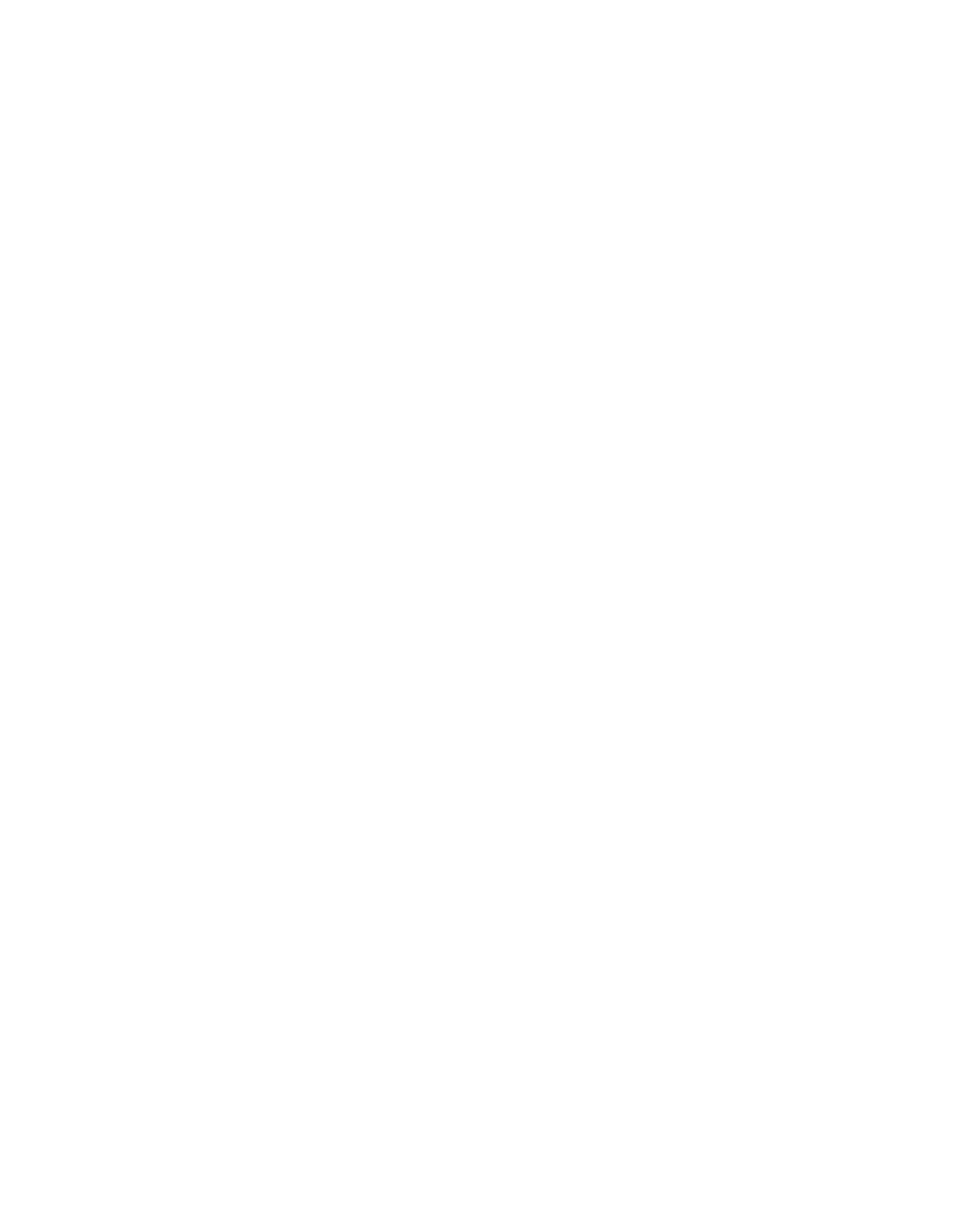|                        |    |                    | : 3 $\texttt{S}$ OTCUH / 3 $\texttt{3}$ DWIRQ $\texttt{6}$ Y & DEUHUD & + & UHF | \$7/                 | %DVH6FRU+FDLG &+&       |                              |                      | 0 DUNDNLV LV 7 RS & ROMMEXWRULQ \$7/ Z LQ |    |               |                 | $$7/$ # & + & |       | d>                                   | d u                                                       |                       |
|------------------------|----|--------------------|---------------------------------------------------------------------------------|----------------------|-------------------------|------------------------------|----------------------|-------------------------------------------|----|---------------|-----------------|---------------|-------|--------------------------------------|-----------------------------------------------------------|-----------------------|
|                        |    |                    |                                                                                 |                      | ' u ^ } Œr Zuv• C/vv]vP |                              |                      |                                           |    |               |                 |               |       |                                      |                                                           |                       |
|                        | ìí | ìî                 | ìï                                                                              | ìð                   | ìñ                      | ìò                           | ìó                   | ìô                                        | ìõ | íì            | íí              | d}šo          |       |                                      |                                                           |                       |
| \$7/<br>$8 + 8$        |    |                    |                                                                                 |                      |                         |                              |                      |                                           |    |               |                 |               |       |                                      |                                                           |                       |
|                        |    |                    | Wol Ç Œ                                                                         |                      |                         |                              |                      | $5\%$                                     |    | 2 Q%V 6 VDWXV |                 | %DVHV         | 30 NU |                                      |                                                           |                       |
|                        |    |                    | &još Œ<br>$\pmb{\circledcirc}$                                                  | $\pmb{\circledcirc}$ |                         |                              |                      | & UHGLWRU5 XQ                             |    | 3\$ %5 %DVHV  |                 | 3 XVKHG       | 6FRUH |                                      | WoÇŒE u ð^}Œ                                              |                       |
| /vv]vP K‰WjšZ0E        |    | Z}XX ŠKOE C        |                                                                                 | $\prime$ '           |                         | WoÇ<br>$61QJ$ $O$            | $\pmb{\circledcirc}$ |                                           |    |               | í W             |               |       |                                      |                                                           | d u                   |
|                        |    | í.                 | 3 HMU/RQ                                                                        |                      |                         |                              |                      |                                           |    |               | $i \, z$<br>i W |               |       | Wo Ç Œ                               | VV∙JŸ} v                                                  | d                     |
|                        |    | $\hat{\mathbb{I}}$ | %HFNKDP                                                                         | $*$ %                |                         | 3 URG2 XW                    |                      |                                           |    |               | i Z<br>i W      |               |       | $D$ (El)                             | Z&                                                        | îí                    |
| , uu oLIX              |    | Ť.                 | HPPDQ                                                                           |                      |                         | $\sim$                       |                      |                                           |    |               | $i$ Z<br>ðW     |               |       | 80) Á OE                             |                                                           |                       |
|                        |    | ð                  | 0 DUNDNLV                                                                       | ) %                  |                         | $+RP$ H <sub>5</sub> $XQ5$ ) |                      |                                           |    |               | i Z<br>i W      |               |       |                                      |                                                           |                       |
|                        |    | ñ                  | $*$ DUFID                                                                       |                      |                         | $\cdot$<br>RXEOH UG3%        |                      |                                           |    | îW            | i Z             |               |       | 80E u v                              | Ĺ                                                         | $\delta$              |
|                        |    | ò                  | ) UDQFRHXU                                                                      | $\prime$             |                         | 2 XA/KPH ) &                 |                      |                                           |    |               | rî Z<br>i W     |               |       | ' 咡                                  | ï.                                                        | $\delta$              |
|                        |    | ó                  | ) OBZ HUV                                                                       |                      |                         | $\bullet$                    |                      |                                           |    |               | i Z<br>í W      |               |       |                                      |                                                           |                       |
| , uu dJX               |    | ô                  | , OFIDUM                                                                        |                      |                         | $.$ WB%                      |                      |                                           |    |               | i Z<br>í W      |               |       | WšOBy                                | î                                                         | $\delta$              |
|                        |    | õ                  | + DUHO                                                                          | $*$ %                |                         | $\frac{1}{6}$                |                      |                                           |    |               | i Z<br>i W      |               |       | 80Ev } µ0E                           | $\mathcal{S}$                                             | $\mathbf{I}$          |
|                        |    | f)                 | 3 HMU/RQ                                                                        | $*$ %                |                         |                              |                      |                                           |    |               | ìZ<br>i W       |               |       |                                      |                                                           |                       |
|                        |    | $-11$              | %HFNKDP                                                                         |                      | $\cdot$                 |                              |                      |                                           |    |               | i Z<br>i W      |               |       | IZ u                                 | $\land$                                                   | $\  \cdot \ $         |
| , uu oLIX              |    | $-11$              | HPPDQ                                                                           | $*$ %                |                         |                              |                      |                                           |    |               | $i$ Z<br>ì W    |               |       | , CEECO                              | W                                                         | $\  \cdot \ $         |
|                        |    | íï                 | 0 DUNDNLV                                                                       | $*$ %                |                         |                              |                      |                                           |    |               | ìZ<br>i W       |               |       |                                      |                                                           |                       |
|                        |    | íð                 | $^\star$ DUFID                                                                  | $*$ %                |                         |                              |                      |                                           |    |               | i Z<br>ì W      |               |       | $\sqrt{1}$ (E)                       | &                                                         | $\  \cdot \ $         |
| , uu dJX               |    | íñ                 | ) UDQFRHXU                                                                      | $*$ %                |                         |                              |                      |                                           |    |               | i Z             |               |       | ÇŒ                                   | Wr∧                                                       | $\mathbf{1}$          |
|                        |    | íò                 | ) ORZHUV                                                                        | $*$ %                |                         |                              |                      |                                           |    |               | ì W<br>i Z      |               |       |                                      |                                                           |                       |
|                        |    | íó                 | , OFIDUM                                                                        | ) %                  |                         |                              |                      |                                           |    |               | ì W<br>ìZ       |               |       |                                      |                                                           |                       |
| , uu dJX               |    | íô                 | $+ D U H O D$                                                                   |                      |                         | $\bullet$                    |                      |                                           |    |               | i W<br>i Z      |               |       |                                      | 6 FRU+FDUG                                                |                       |
|                        |    | íõ                 | 3 HMU/RQ                                                                        | $*$ %                |                         |                              |                      |                                           |    |               | i W<br>$i$ Z    |               |       |                                      | <b>6 SROVRUHG%</b>                                        |                       |
| , uu oLIX ii           |    |                    | %HFNKDP                                                                         |                      |                         | $:$ DON                      |                      |                                           |    |               | i W<br>i Z      |               |       |                                      |                                                           |                       |
| t }} UdX               |    | $-11$              | HPPDQ                                                                           | ) %                  |                         |                              |                      |                                           |    |               | i W<br>$i$ Z    |               |       |                                      |                                                           |                       |
|                        |    | $-11$              | 0 DUNDALV                                                                       |                      |                         | $\cdot$                      |                      |                                           |    |               | i W<br>i Z      |               |       |                                      |                                                           |                       |
| , v OEI•UkX î⊺         |    |                    | $^\star$ DUFID                                                                  | 38                   |                         |                              |                      |                                           |    |               | ì W<br>i Z      |               |       |                                      |                                                           |                       |
|                        |    | îŏ                 | ) UDQFRHXU                                                                      |                      |                         | $\therefore$ DON             |                      |                                           |    |               | í W<br>ìZ       |               |       |                                      |                                                           |                       |
| , v Œl•UkX—            |    | îñ                 | $)$ GRZ HU/                                                                     | ) %                  |                         |                              |                      |                                           |    |               | i W<br>i Z      |               |       |                                      | KWASV LWACHN DSSOH FRP XV DSS JR<br>PHDCDCG ILMOHAV WIDEN |                       |
|                        |    | îò                 | , OFIDUM                                                                        | ) %                  |                         |                              |                      |                                           |    |               | i W<br>$i$ Z    |               |       |                                      | HUB                                                       | <u>"PW</u>            |
|                        |    | îó                 | $+ D U H O D$                                                                   | $*$ %                |                         |                              |                      |                                           |    |               | i W<br>$i$ Z    |               |       |                                      |                                                           |                       |
| , v OEI•UkX–           |    | îô                 | 3 HMU/RQ                                                                        | ) %                  |                         |                              |                      |                                           |    |               | i W<br>$i$ Z    |               |       |                                      |                                                           |                       |
|                        |    | ÎÕ                 | %HFNKDP                                                                         |                      |                         | $\sim$                       |                      |                                           |    |               | i W<br>i Z      |               |       |                                      |                                                           |                       |
| '0)EuUX                |    | $-71$              | ) UHP DQ                                                                        | ) %                  |                         |                              |                      |                                           |    |               | ì W<br>i Z      |               |       |                                      |                                                           |                       |
|                        |    | ΪÍ                 | 0 DUNDNLV                                                                       | ) %                  |                         | $+$ RP H5 XQ5)               |                      |                                           |    |               | ðW<br>i Z       |               |       |                                      |                                                           |                       |
|                        |    | ΪÎ                 | $^\star$ DUFID                                                                  |                      |                         | $\sim$                       |                      |                                           |    |               | i W<br>i Z      |               |       |                                      |                                                           |                       |
| $Z\}$ v } v $U \times$ |    | $-11$              | ) UDGFRHXU                                                                      |                      |                         | : DON: QG6%                  |                      |                                           |    |               | í W<br>i Z      |               |       |                                      |                                                           |                       |
|                        |    | ïŏ                 | ) ORZHUV                                                                        |                      |                         | $\bullet$                    |                      |                                           |    |               | i W<br>i Z      |               |       |                                      |                                                           |                       |
|                        |    | ïñ                 | , OFIDUM                                                                        |                      |                         | $\bullet$                    |                      |                                           |    |               | i W<br>i Z      |               |       |                                      |                                                           |                       |
|                        |    | Ϊò                 | $$ \E$                                                                          |                      |                         | $\epsilon$                   |                      |                                           |    |               | i W<br>i Z      |               |       |                                      |                                                           |                       |
| WC VUX                 |    | ïó                 | 3 HMU/RQ                                                                        | $*$ %                |                         | 8                            |                      |                                           |    |               | i W<br>i Z      |               |       |                                      |                                                           |                       |
|                        |    | Ϊô                 | %HFNKDP                                                                         |                      |                         | $\sim$                       |                      |                                           |    |               | i W<br>i Z      |               |       |                                      |                                                           |                       |
|                        |    | ΪÕ                 | HPPDQ                                                                           |                      |                         | $:$ DON                      |                      |                                           |    |               | í W<br>ïZ       |               |       |                                      |                                                           |                       |
|                        |    | ðì                 | 0 DUNDALV                                                                       |                      |                         | $\sim$                       |                      |                                           |    |               | i W<br>i Z      |               |       |                                      |                                                           |                       |
|                        |    | ðí                 | $^\star$ DUFID                                                                  | $*$ %                |                         | $61QJ$ $OH$                  |                      |                                           |    |               | i W<br>$i$ Z    |               |       |                                      |                                                           |                       |
| WC VUX                 |    | ðî                 | ) UDGFRHXU                                                                      | $\prime$ .           |                         |                              |                      |                                           |    |               | i W<br>$i$ Z    |               |       |                                      |                                                           |                       |
|                        |    | ðï                 | $)$ GRZ HUV                                                                     | $*$ %                |                         | 6 LQUIGH QG2 O 7 KURZ        |                      |                                           |    |               | î W<br>$i$ Z    |               |       | &UHGLW<br>3\$                        | $\%5$                                                     | %DMHV 300 HU          |
|                        |    | ðð                 | , OFIDUM                                                                        |                      |                         | $\sim$                       |                      |                                           |    |               | i W<br>$i \, z$ |               |       | $)$ RU <sub>5</sub><br>%DVHV<br>\$7/ |                                                           | %DMHV 3XWHG<br>6 FRUH |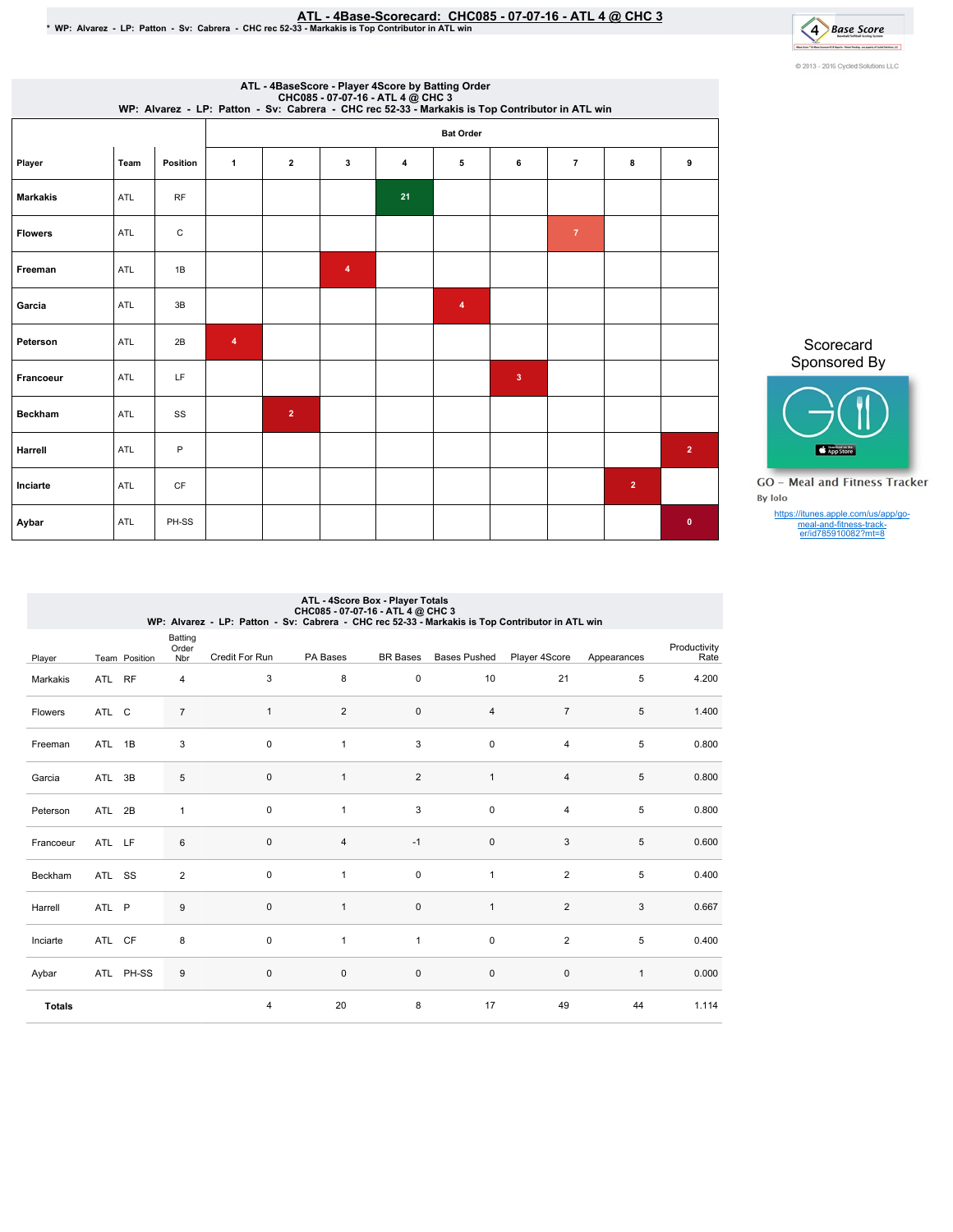# <u>ATL - 4Base-Scorecard: CHC085 - 07-07-16 - ATL 4 @ CHC 3</u><br>\* WP: Alvarez - LP: Patton - Sv: Cabrera - CHC rec 52-33 - Markakis is Top Contributor in ATL win

4 Base Score .<br>Nyola fanothodry any park of Grief Internet of ...  $\overline{\phantom{a}}$ C 2013 - 2016 Cycled Solutions LLC

| ATL - 4BaseScore - Player 4Score by Batting Order<br>CHC085 - 07-07-16 - ATL 4 @ CHC 3<br>WP: Alvarez - LP: Patton - Sv: Cabrera - CHC rec 52-33 - Markakis is Top Contributor in ATL win |            |              |                    |                  |                |    |   |                         |                |                |                |  |  |
|-------------------------------------------------------------------------------------------------------------------------------------------------------------------------------------------|------------|--------------|--------------------|------------------|----------------|----|---|-------------------------|----------------|----------------|----------------|--|--|
|                                                                                                                                                                                           |            |              |                    | <b>Bat Order</b> |                |    |   |                         |                |                |                |  |  |
| Player                                                                                                                                                                                    | Team       | Position     | 1                  | $\mathbf{2}$     | 3              | 4  | 5 | 6                       | $\overline{7}$ | 8              | 9              |  |  |
| <b>Markakis</b>                                                                                                                                                                           | ATL        | <b>RF</b>    |                    |                  |                | 21 |   |                         |                |                |                |  |  |
| <b>Flowers</b>                                                                                                                                                                            | ATL        | $\mathtt{C}$ |                    |                  |                |    |   |                         | $\overline{7}$ |                |                |  |  |
| Freeman                                                                                                                                                                                   | <b>ATL</b> | 1B           |                    |                  | $\overline{4}$ |    |   |                         |                |                |                |  |  |
| Garcia                                                                                                                                                                                    | ATL        | 3B           |                    |                  |                |    | 4 |                         |                |                |                |  |  |
| Peterson                                                                                                                                                                                  | ATL        | 2B           | $\overline{\bf 4}$ |                  |                |    |   |                         |                |                |                |  |  |
| Francoeur                                                                                                                                                                                 | ATL        | LF           |                    |                  |                |    |   | $\overline{\mathbf{3}}$ |                |                |                |  |  |
| <b>Beckham</b>                                                                                                                                                                            | <b>ATL</b> | SS           |                    | $\overline{2}$   |                |    |   |                         |                |                |                |  |  |
| Harrell                                                                                                                                                                                   | ATL        | P            |                    |                  |                |    |   |                         |                |                | $\overline{2}$ |  |  |
| Inciarte                                                                                                                                                                                  | ATL        | <b>CF</b>    |                    |                  |                |    |   |                         |                | $\overline{2}$ |                |  |  |
| Aybar                                                                                                                                                                                     | ATL        | PH-SS        |                    |                  |                |    |   |                         |                |                | $\bullet$      |  |  |



Scorecard

**GO** - Meal and Fitness Tracker By Iolo

https://itunes.apple.com/us/app/go-meal-and-fitness-track-er/id785910082?mt=8

|               | ATL - 4Score Box - Player Totals<br>CHC085 - 07-07-16 - ATL 4 @ CHC 3<br>WP: Alvarez - LP: Patton - Sv: Cabrera - CHC rec 52-33 - Markakis is Top Contributor in ATL win |               |                         |                |                |                 |                     |                |              |                      |  |  |  |  |
|---------------|--------------------------------------------------------------------------------------------------------------------------------------------------------------------------|---------------|-------------------------|----------------|----------------|-----------------|---------------------|----------------|--------------|----------------------|--|--|--|--|
| Player        |                                                                                                                                                                          | Team Position | Batting<br>Order<br>Nbr | Credit For Run | PA Bases       | <b>BR</b> Bases | <b>Bases Pushed</b> | Player 4Score  | Appearances  | Productivity<br>Rate |  |  |  |  |
| Markakis      | ATL RF                                                                                                                                                                   |               | $\overline{4}$          | 3              | 8              | $\mathbf 0$     | 10                  | 21             | 5            | 4.200                |  |  |  |  |
| Flowers       | ATL C                                                                                                                                                                    |               | $\overline{7}$          | $\mathbf{1}$   | $\overline{2}$ | $\mathbf 0$     | $\overline{4}$      | $\overline{7}$ | 5            | 1.400                |  |  |  |  |
| Freeman       | ATL 1B                                                                                                                                                                   |               | 3                       | 0              | 1              | 3               | $\mathbf 0$         | $\overline{4}$ | 5            | 0.800                |  |  |  |  |
| Garcia        | ATL 3B                                                                                                                                                                   |               | 5                       | $\mathbf 0$    | $\mathbf{1}$   | 2               | $\mathbf{1}$        | 4              | 5            | 0.800                |  |  |  |  |
| Peterson      | ATL 2B                                                                                                                                                                   |               | 1                       | 0              | 1              | 3               | $\pmb{0}$           | 4              | 5            | 0.800                |  |  |  |  |
| Francoeur     | ATL LF                                                                                                                                                                   |               | 6                       | $\mathbf 0$    | $\overline{4}$ | $-1$            | $\mathbf 0$         | 3              | 5            | 0.600                |  |  |  |  |
| Beckham       | ATL SS                                                                                                                                                                   |               | $\overline{2}$          | $\mathbf 0$    | $\mathbf{1}$   | $\mathbf 0$     | $\mathbf{1}$        | $\overline{2}$ | 5            | 0.400                |  |  |  |  |
| Harrell       | ATL P                                                                                                                                                                    |               | 9                       | $\mathbf 0$    | 1              | $\mathbf 0$     | $\mathbf{1}$        | $\overline{2}$ | 3            | 0.667                |  |  |  |  |
| Inciarte      | ATL CF                                                                                                                                                                   |               | 8                       | $\Omega$       | 1              | $\mathbf{1}$    | $\mathbf 0$         | $\overline{2}$ | 5            | 0.400                |  |  |  |  |
| Aybar         |                                                                                                                                                                          | ATL PH-SS     | 9                       | $\mathbf 0$    | $\mathbf 0$    | $\pmb{0}$       | $\pmb{0}$           | $\pmb{0}$      | $\mathbf{1}$ | 0.000                |  |  |  |  |
| <b>Totals</b> |                                                                                                                                                                          |               |                         | 4              | 20             | 8               | 17                  | 49             | 44           | 1.114                |  |  |  |  |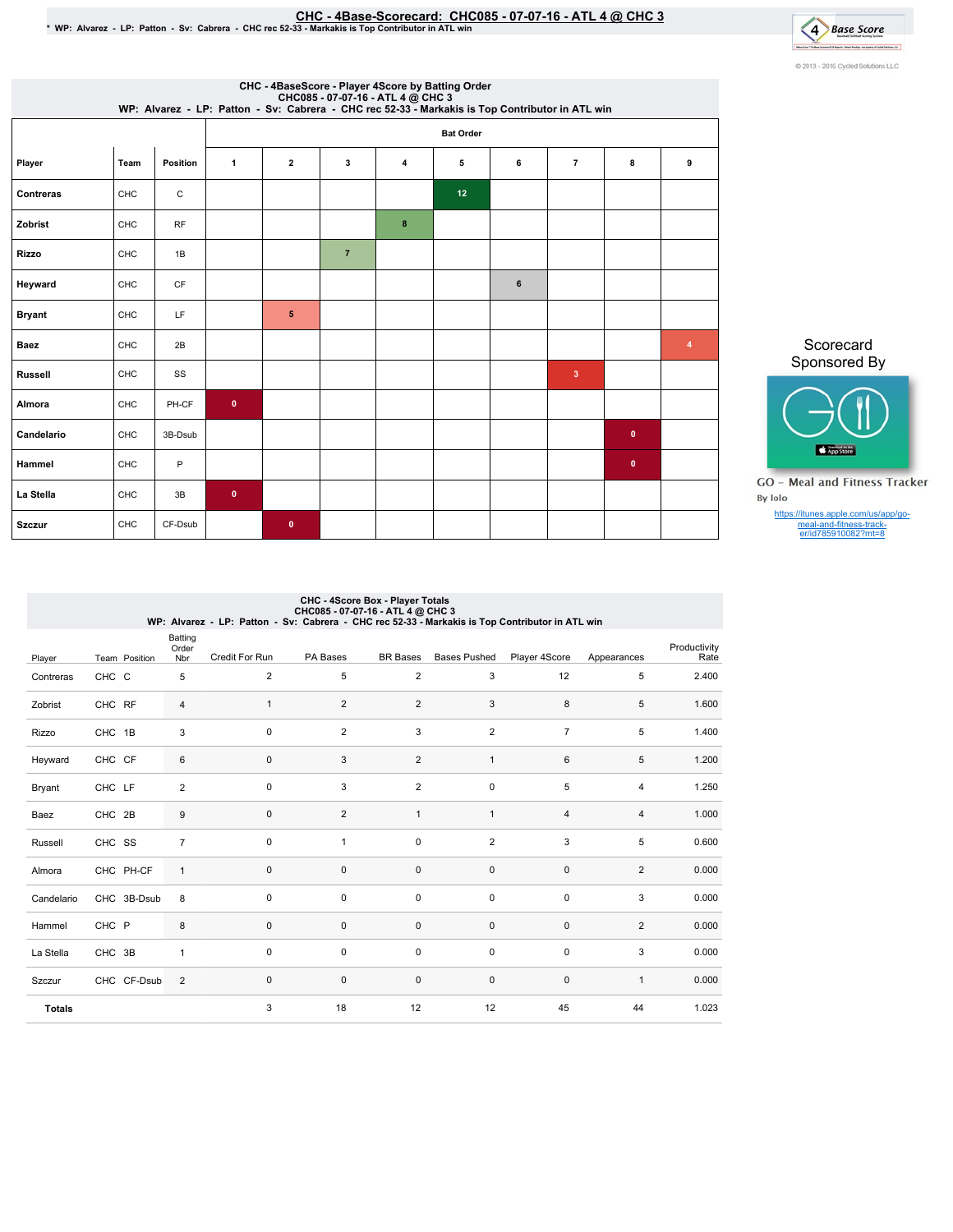# CHC-4Base-Scorecard:CHC085-07-07-16-ATL4@ CHC3 \*WP:Alvarez-LP:Patton-Sv:Cabrera-CHCrec52-33-MarkakisisTopContributorinATLwin



|                | CHC - 4BaseScore - Player 4Score by Batting Order<br>CHC085 - 07-07-16 - ATL 4 @ CHC 3<br>WP: Alvarez - LP: Patton - Sv: Cabrera - CHC rec 52-33 - Markakis is Top Contributor in ATL win |              |              |                |                |   |                  |   |                         |           |                |  |  |  |
|----------------|-------------------------------------------------------------------------------------------------------------------------------------------------------------------------------------------|--------------|--------------|----------------|----------------|---|------------------|---|-------------------------|-----------|----------------|--|--|--|
|                |                                                                                                                                                                                           |              |              |                |                |   | <b>Bat Order</b> |   |                         |           |                |  |  |  |
| Player         | Team                                                                                                                                                                                      | Position     | $\mathbf{1}$ | $\overline{2}$ | 3              | 4 | 5                | 6 | $\overline{7}$          | 8         | 9              |  |  |  |
| Contreras      | CHC                                                                                                                                                                                       | $\mathtt{C}$ |              |                |                |   | 12 <sub>2</sub>  |   |                         |           |                |  |  |  |
| Zobrist        | CHC                                                                                                                                                                                       | <b>RF</b>    |              |                |                | 8 |                  |   |                         |           |                |  |  |  |
| <b>Rizzo</b>   | CHC                                                                                                                                                                                       | 1B           |              |                | $\overline{7}$ |   |                  |   |                         |           |                |  |  |  |
| Heyward        | CHC                                                                                                                                                                                       | CF           |              |                |                |   |                  | 6 |                         |           |                |  |  |  |
| <b>Bryant</b>  | CHC                                                                                                                                                                                       | LF           |              | 5              |                |   |                  |   |                         |           |                |  |  |  |
| <b>Baez</b>    | CHC                                                                                                                                                                                       | 2B           |              |                |                |   |                  |   |                         |           | $\overline{4}$ |  |  |  |
| <b>Russell</b> | CHC                                                                                                                                                                                       | SS           |              |                |                |   |                  |   | $\overline{\mathbf{3}}$ |           |                |  |  |  |
| Almora         | CHC                                                                                                                                                                                       | PH-CF        | $\pmb{0}$    |                |                |   |                  |   |                         |           |                |  |  |  |
| Candelario     | CHC                                                                                                                                                                                       | 3B-Dsub      |              |                |                |   |                  |   |                         | $\bullet$ |                |  |  |  |
| Hammel         | CHC                                                                                                                                                                                       | P            |              |                |                |   |                  |   |                         | $\bullet$ |                |  |  |  |
| La Stella      | CHC                                                                                                                                                                                       | 3B           | $\mathbf{0}$ |                |                |   |                  |   |                         |           |                |  |  |  |
| <b>Szczur</b>  | CHC                                                                                                                                                                                       | CF-Dsub      |              | $\bullet$      |                |   |                  |   |                         |           |                |  |  |  |

Scorecard Sponsored By



**GO** - Meal and Fitness Tracker By Iolo

https://itunes.apple.com/us/app/go-meal-and-fitness-track-er/id785910082?mt=8

# CHC - 4Score Box - Player Totals<br>CHC085 - 07-07-16 - ATL 4 @ CHC CHC 8<br>WP: Alvarez - LP: Patton - Sv: Cabrera - CHC rec 52-33 - Markakis is Top Contributor in ATL win

|               |        | Team Position | Batting<br>Order          | Credit For Run | PA Bases       | <b>BR</b> Bases | <b>Bases Pushed</b> | Player 4Score  | Appearances    | Productivity<br>Rate |
|---------------|--------|---------------|---------------------------|----------------|----------------|-----------------|---------------------|----------------|----------------|----------------------|
| Player        |        |               | Nbr                       |                |                |                 |                     |                |                |                      |
| Contreras     | CHC C  |               | 5                         | $\overline{2}$ | 5              | $\overline{2}$  | 3                   | 12             | 5              | 2.400                |
| Zobrist       | CHC RF |               | $\overline{4}$            | $\mathbf{1}$   | $\overline{2}$ | $\overline{2}$  | 3                   | 8              | 5              | 1.600                |
| Rizzo         | CHC 1B |               | $\ensuremath{\mathsf{3}}$ | $\mathbf 0$    | $\overline{2}$ | 3               | $\overline{2}$      | $\overline{7}$ | 5              | 1.400                |
| Heyward       | CHC CF |               | 6                         | $\mathbf 0$    | 3              | 2               | $\mathbf{1}$        | 6              | $\,$ 5 $\,$    | 1.200                |
| Bryant        | CHC LF |               | $\overline{2}$            | 0              | 3              | $\overline{2}$  | 0                   | 5              | $\overline{4}$ | 1.250                |
| Baez          | CHC 2B |               | $\boldsymbol{9}$          | 0              | $\overline{2}$ | $\mathbf{1}$    | $\mathbf{1}$        | $\overline{4}$ | $\overline{4}$ | 1.000                |
| Russell       | CHC SS |               | $\overline{7}$            | $\pmb{0}$      | $\overline{1}$ | $\mathbf 0$     | $\overline{2}$      | 3              | 5              | 0.600                |
| Almora        |        | CHC PH-CF     | $\mathbf{1}$              | 0              | 0              | 0               | $\pmb{0}$           | $\mathbf 0$    | $\overline{2}$ | 0.000                |
| Candelario    |        | CHC 3B-Dsub   | 8                         | 0              | $\pmb{0}$      | $\pmb{0}$       | 0                   | $\pmb{0}$      | 3              | 0.000                |
| Hammel        | CHC P  |               | 8                         | $\mathbf 0$    | $\mathbf 0$    | $\mathbf 0$     | $\pmb{0}$           | $\pmb{0}$      | $\overline{2}$ | 0.000                |
| La Stella     | CHC 3B |               | $\mathbf{1}$              | 0              | $\pmb{0}$      | 0               | 0                   | $\pmb{0}$      | 3              | 0.000                |
| Szczur        |        | CHC CF-Dsub   | $\overline{2}$            | $\mathbf 0$    | $\pmb{0}$      | $\pmb{0}$       | $\pmb{0}$           | $\pmb{0}$      | $\mathbf{1}$   | 0.000                |
| <b>Totals</b> |        |               |                           | 3              | 18             | 12              | 12                  | 45             | 44             | 1.023                |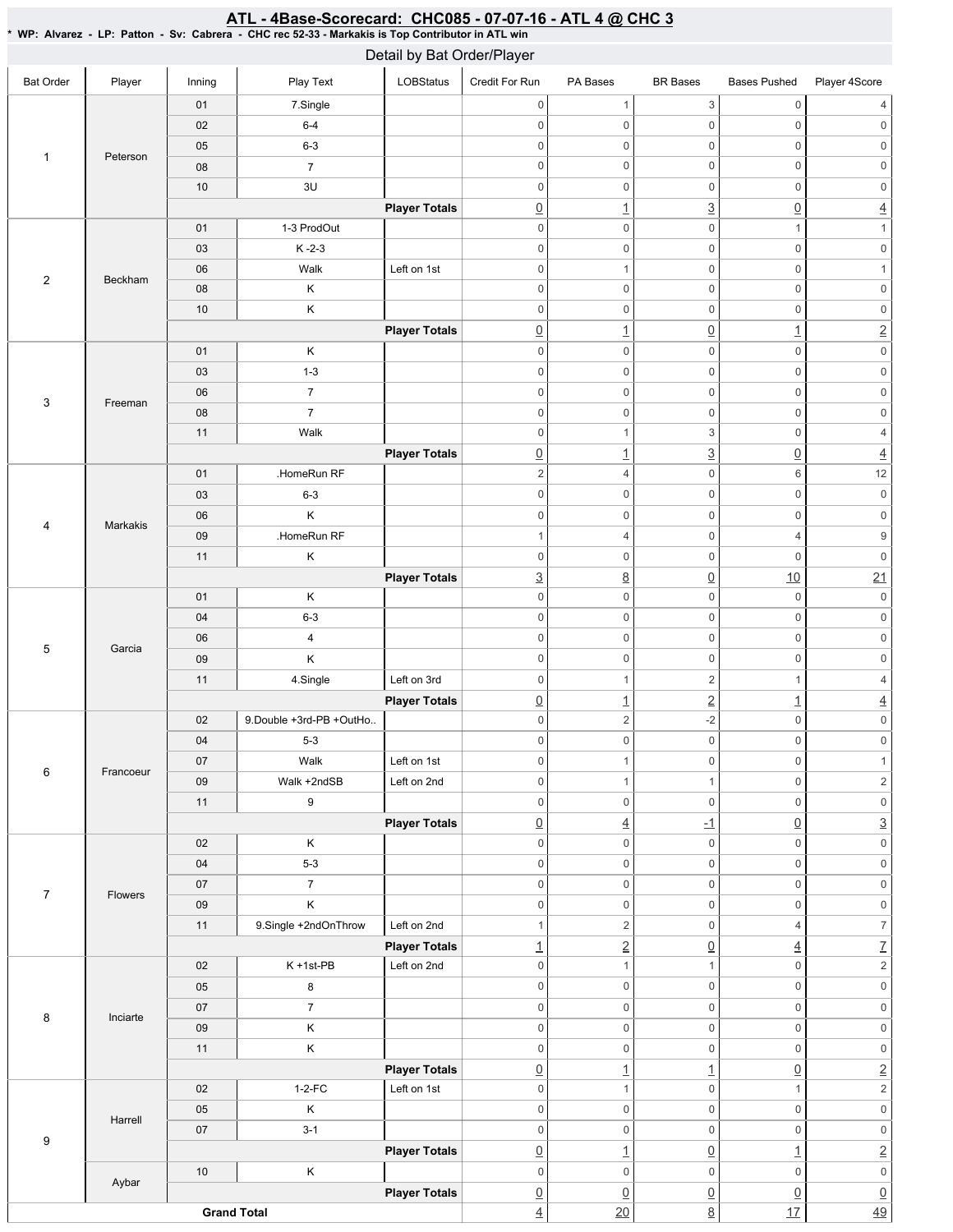### Bat Order | Player | Inning | PlayText | LOBStatus Credit For Run PA Bases BR Bases Bases Pushed Player 4Score 1 Peterson 01 7.Single 02 6-4 05 6-3 08 7 10 3U **Player Totals** 2 Beckham 01 1-3 ProdOut 03 K-2-3 06 | Walk Left on 1st 08 K 10 K **Player Totals** 3 Freeman 01 | K 03 1-3 06 7 08 7 11 Walk **Player Totals** 4 Markakis 01 .HomeRun RF 03 6-3 06 K 09 | HomeRun RF 11 K **Player Totals** 5 Garcia 01 K 04 6-3 06 4 09 K 11 | 4.Single | Left on 3rd **Player Totals** 6 Francoeur 02 9.Double +3rd-PB +OutHo.. 04 5-3 07 | Walk Left on 1st 09 Walk +2ndSB Left on 2nd 11 9 **Player Totals** 7 Flowers 02 K 04 5-3 07 7 09 K 11 9.Single +2ndOnThrow Left on 2nd **Player Totals** 8 Inciarte 02 K+1st-PB Left on 2nd 05 8 07 7 09 K 11 K **Player Totals** 9 Harrell 02 | 1-2-FC Left on 1st 05 K 07 3-1 **Player Totals** Aybar 10 K **Player Totals Grand Total** 0 1 3 0 4 0 0 0 0 0 0 0 0 0 0 0 0 0 0 0 0 0 0 0 0 0 0 0 0 0 1 3 0 4 0 0 1 1 1 0 0 0 0 0 0 0 0 0 1 0 0 0 0 0 0 0 0 0 0 0 0  $\boxed{0}$  1  $\boxed{0}$  1  $\boxed{1}$  2 0 0 0 0 0 0 0 0 0 0 0 0 0 0 0 0 0 0 0 0 0 0 0 0 0 1 3 0 4 0 1 3 0 4 2 4 0 6 12 0 0 0 0 0 0 0 0 0 0 0 0 1 4 0 4 9 0 0 0 0 0 0  $\frac{3}{2}$  8 0 10 21 0 0 0 0 0 0 0 0 0 0 0 0 0 0 0 0 0 0 0 0 0 0 0 0 0 1 2 1 4  $\boxed{0}$  1  $\boxed{2}$  1  $\boxed{1}$ 0  $2$  -2 0 0 0 0 0 0 0 0 0 0 1 0 1 0 1 1 0 2 0 0 0 0 0 0  $\boxed{0}$  4 -1  $\boxed{0}$  3 0 0 0 0 0 0 0 0 0 0 0 0 0 0 0 0 0 0 0 0 0 0 0 0 1  $2$  0 4 7  $\frac{1}{2}$   $\frac{0}{4}$   $\frac{1}{2}$ 0 1 1 0 2 0 0 0 0 0 0 0 0 0 0 0 0 0 0 0 0 0 0 0 0 0 0 0 0  $\begin{array}{ccc} \boxed{0} & 1 & 1 & \boxed{1} & \boxed{0} & \boxed{2} \end{array}$ 0 1 0 1 2 0 0 0 0 0 0 0 0 0 0 0 0 0 1 0 1 2 0 0 0 0 0 0  $\overline{0}$   $\overline{0}$   $\overline{0}$   $\overline{0}$   $\overline{0}$   $\overline{0}$   $\overline{0}$  $\frac{4}{9}$  20 8 17  $\frac{17}{9}$  49 Detail by Bat Order/Player

### ATL - 4Base-Scorecard: CHC085 - 07-07-16 - ATL 4 @ CHC 3

\* WP: Alvarez-LP: Patton-Sv: Cabrera-CHC rec 52-33 - Markakis is Top Contributor in ATL win